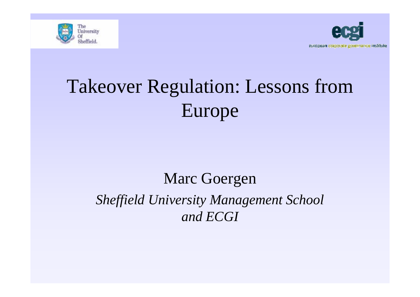



# Takeover Regulation: Lessons from Europe

#### Marc Goergen *Sheffield University Management School and ECGI*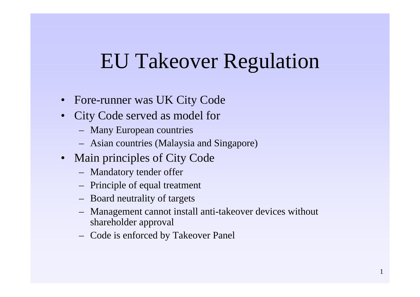- Fore-runner was UK City Code
- $\bullet$ City Code served as model for
	- Many European countries
	- Asian countries (Malaysia and Singapore)
- Main principles of City Code
	- Mandatory tender offer
	- Principle of equal treatment
	- Board neutrality of targets
	- Management cannot install anti-takeover devices without shareholder approval
	- Code is enforced by Takeover Panel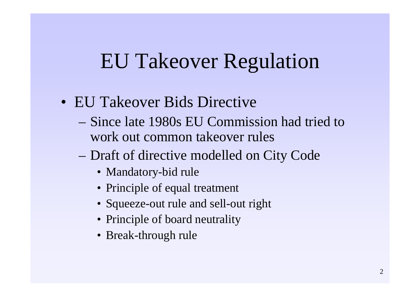- EU Takeover Bids Directive
	- –Since late 1980s EU Commission had tried to work out common takeover rules
	- Draft of directive modelled on City Code
		- Mandatory-bid rule
		- Principle of equal treatment
		- Squeeze-out rule and sell-out right
		- Principle of board neutrality
		- Break-through rule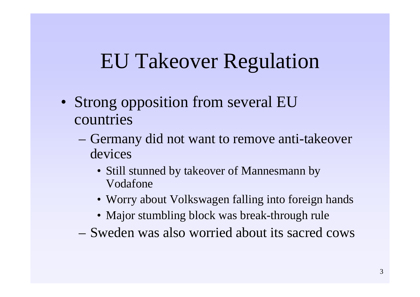- Strong opposition from several EU countries
	- Germany did not want to remove anti-takeover devices
		- Still stunned by takeover of Mannesmann by Vodafone
		- Worry about Volkswagen falling into foreign hands
		- Major stumbling block was break-through rule
	- –Sweden was also worried about its sacred cows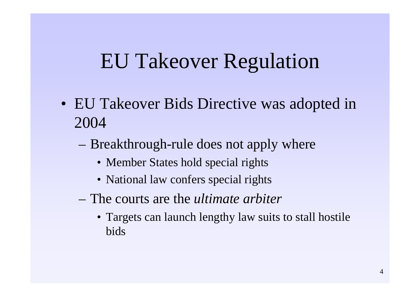- EU Takeover Bids Directive was adopted in 2004
	- Breakthrough-rule does not apply where
		- Member States hold special rights
		- National law confers special rights
	- –The courts are the *ultimate arbiter*
		- Targets can launch lengthy law suits to stall hostile bids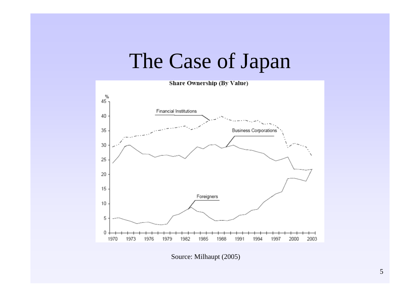

Source: Milhaupt (2005)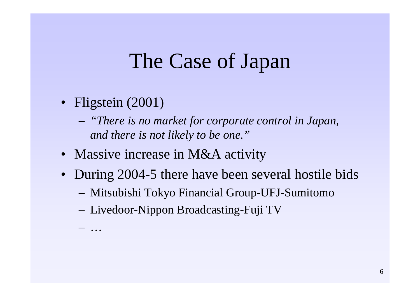- Fligstein (2001)
	- *"There is no market for corporate control in Japan, and there is not likely to be one."*
- Massive increase in M&A activity
- During 2004-5 there have been several hostile bids
	- Mitsubishi Tokyo Financial Group-UFJ-Sumitomo
	- Livedoor-Nippon Broadcasting-Fuji TV

…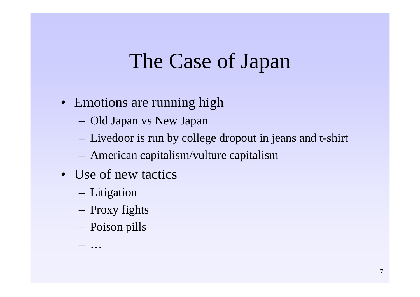- Emotions are running high
	- Old Japan vs New Japan
	- Livedoor is run by college dropout in jeans and t-shirt
	- American capitalism/vulture capitalism
- Use of new tactics
	- Litigation
	- Proxy fights
	- Poison pills

…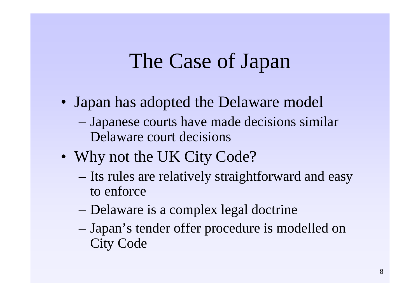- Japan has adopted the Delaware model – Japanese courts have made decisions similar Delaware court decisions
- Why not the UK City Code?
	- Its rules are relatively straightforward and easy to enforce
	- Delaware is a complex legal doctrine
	- Japan's tender offer procedure is modelled on City Code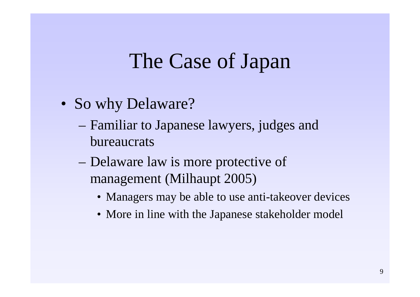- So why Delaware?
	- Familiar to Japanese lawyers, judges and bureaucrats
	- Delaware law is more protective of management (Milhaupt 2005)
		- Managers may be able to use anti-takeover devices
		- More in line with the Japanese stakeholder model